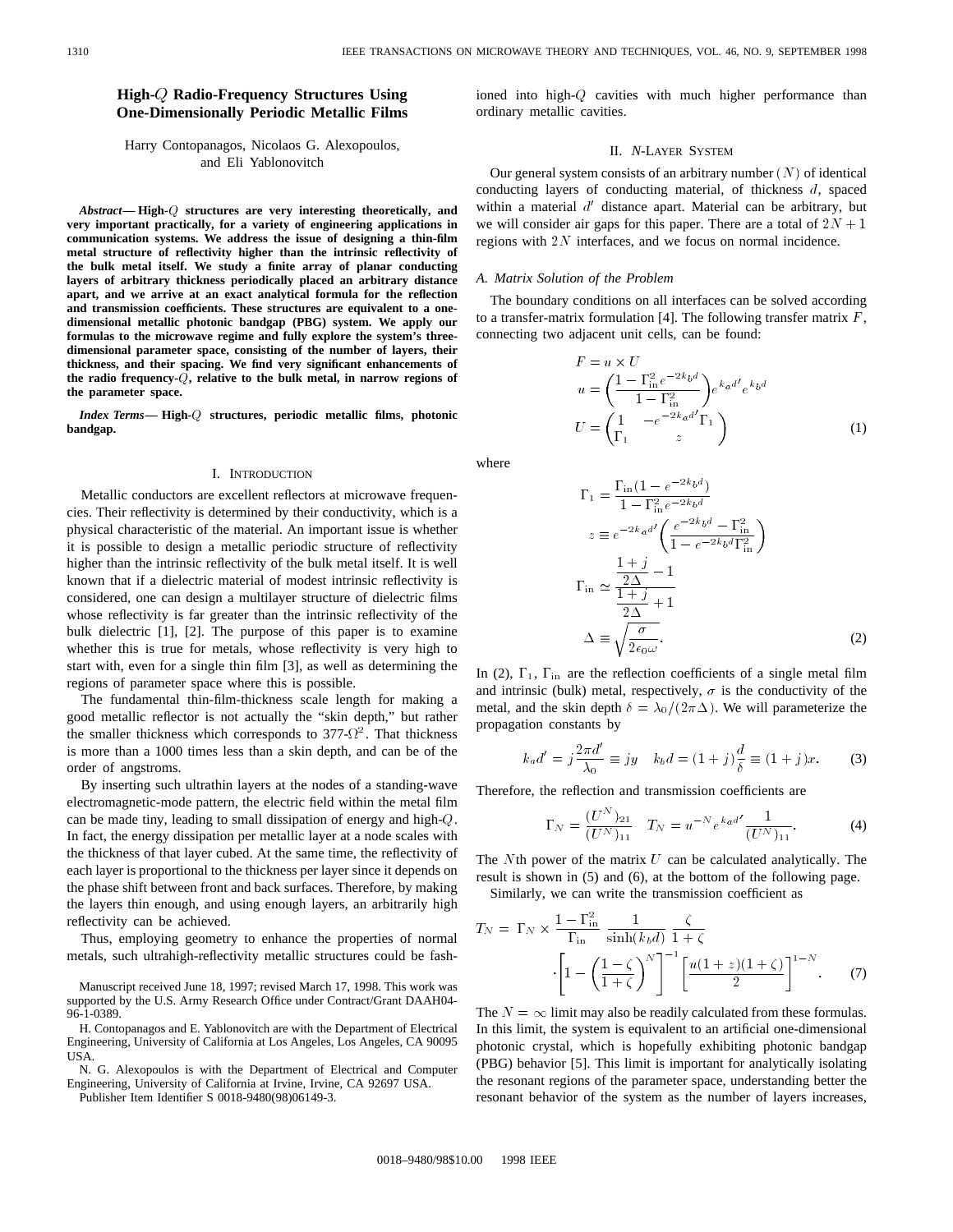# **High- Radio-Frequency Structures Using One-Dimensionally Periodic Metallic Films**

### Harry Contopanagos, Nicolaos G. Alexopoulos, and Eli Yablonovitch

*Abstract—* **High-**Q **structures are very interesting theoretically, and very important practically, for a variety of engineering applications in communication systems. We address the issue of designing a thin-film metal structure of reflectivity higher than the intrinsic reflectivity of the bulk metal itself. We study a finite array of planar conducting layers of arbitrary thickness periodically placed an arbitrary distance apart, and we arrive at an exact analytical formula for the reflection and transmission coefficients. These structures are equivalent to a onedimensional metallic photonic bandgap (PBG) system. We apply our formulas to the microwave regime and fully explore the system's threedimensional parameter space, consisting of the number of layers, their thickness, and their spacing. We find very significant enhancements of the radio frequency-**Q**, relative to the bulk metal, in narrow regions of the parameter space.**

*Index Terms—* **High-**Q **structures, periodic metallic films, photonic bandgap.**

#### I. INTRODUCTION

Metallic conductors are excellent reflectors at microwave frequencies. Their reflectivity is determined by their conductivity, which is a physical characteristic of the material. An important issue is whether it is possible to design a metallic periodic structure of reflectivity higher than the intrinsic reflectivity of the bulk metal itself. It is well known that if a dielectric material of modest intrinsic reflectivity is considered, one can design a multilayer structure of dielectric films whose reflectivity is far greater than the intrinsic reflectivity of the bulk dielectric [1], [2]. The purpose of this paper is to examine whether this is true for metals, whose reflectivity is very high to start with, even for a single thin film [3], as well as determining the regions of parameter space where this is possible.

The fundamental thin-film-thickness scale length for making a good metallic reflector is not actually the "skin depth," but rather the smaller thickness which corresponds to  $377-\Omega^2$ . That thickness is more than a 1000 times less than a skin depth, and can be of the order of angstroms.

By inserting such ultrathin layers at the nodes of a standing-wave electromagnetic-mode pattern, the electric field within the metal film can be made tiny, leading to small dissipation of energy and high-Q. In fact, the energy dissipation per metallic layer at a node scales with the thickness of that layer cubed. At the same time, the reflectivity of each layer is proportional to the thickness per layer since it depends on the phase shift between front and back surfaces. Therefore, by making the layers thin enough, and using enough layers, an arbitrarily high reflectivity can be achieved.

Thus, employing geometry to enhance the properties of normal metals, such ultrahigh-reflectivity metallic structures could be fash-

Manuscript received June 18, 1997; revised March 17, 1998. This work was supported by the U.S. Army Research Office under Contract/Grant DAAH04- 96-1-0389.

H. Contopanagos and E. Yablonovitch are with the Department of Electrical Engineering, University of California at Los Angeles, Los Angeles, CA 90095 USA.

N. G. Alexopoulos is with the Department of Electrical and Computer Engineering, University of California at Irvine, Irvine, CA 92697 USA.

Publisher Item Identifier S 0018-9480(98)06149-3.

ioned into high-Q cavities with much higher performance than ordinary metallic cavities.

## II. *N*-LAYER SYSTEM

Our general system consists of an arbitrary number  $(N)$  of identical conducting layers of conducting material, of thickness d, spaced within a material  $d'$  distance apart. Material can be arbitrary, but we will consider air gaps for this paper. There are a total of  $2N + 1$ regions with  $2N$  interfaces, and we focus on normal incidence.

### *A. Matrix Solution of the Problem*

The boundary conditions on all interfaces can be solved according to a transfer-matrix formulation [4]. The following transfer matrix  $F$ , connecting two adjacent unit cells, can be found:

$$
F = u \times U
$$
  
\n
$$
u = \left(\frac{1 - \Gamma_{\text{in}}^2 e^{-2k_b d}}{1 - \Gamma_{\text{in}}^2}\right) e^{k_a d'} e^{k_b d}
$$
  
\n
$$
U = \left(\frac{1}{\Gamma_1} - e^{-2k_a d'} \Gamma_1\right)
$$
\n(1)

where

$$
\Gamma_1 = \frac{\Gamma_{\text{in}}(1 - e^{-2k_b d})}{1 - \Gamma_{\text{in}}^2 e^{-2k_b d}}
$$
  
\n
$$
z \equiv e^{-2k_a d'} \left( \frac{e^{-2k_b d} - \Gamma_{\text{in}}^2}{1 - e^{-2k_b d} \Gamma_{\text{in}}^2} \right)
$$
  
\n
$$
\Gamma_{\text{in}} \simeq \frac{\frac{1 + j}{2\Delta} - 1}{\frac{1 + j}{2\Delta} + 1}
$$
  
\n
$$
\Delta \equiv \sqrt{\frac{\sigma}{2\epsilon_0 \omega}}.
$$
 (2)

In (2),  $\Gamma_1$ ,  $\Gamma_{\text{in}}$  are the reflection coefficients of a single metal film and intrinsic (bulk) metal, respectively,  $\sigma$  is the conductivity of the metal, and the skin depth  $\delta = \lambda_0/(2\pi\Delta)$ . We will parameterize the propagation constants by

$$
k_a d' = j \frac{2\pi d'}{\lambda_0} \equiv jy \quad k_b d = (1+j)\frac{d}{\delta} \equiv (1+j)x.
$$
 (3)

Therefore, the reflection and transmission coefficients are

$$
\Gamma_N = \frac{(U^N)_{21}}{(U^N)_{11}} \quad T_N = u^{-N} e^{ka^{d'}} \frac{1}{(U^N)_{11}}.
$$
 (4)

The  $N$ th power of the matrix  $U$  can be calculated analytically. The result is shown in (5) and (6), at the bottom of the following page. Similarly, we can write the transmission coefficient as

$$
T_N = \Gamma_N \times \frac{1 - \Gamma_{\text{in}}^2}{\Gamma_{\text{in}}} \frac{1}{\sinh(k_b d)} \frac{\zeta}{1 + \zeta}
$$

$$
\left[1 - \left(\frac{1 - \zeta}{1 + \zeta}\right)^N\right]^{-1} \left[\frac{u(1 + z)(1 + \zeta)}{2}\right]^{1 - N}.\tag{7}
$$

The  $N = \infty$  limit may also be readily calculated from these formulas. In this limit, the system is equivalent to an artificial one-dimensional photonic crystal, which is hopefully exhibiting photonic bandgap (PBG) behavior [5]. This limit is important for analytically isolating the resonant regions of the parameter space, understanding better the resonant behavior of the system as the number of layers increases,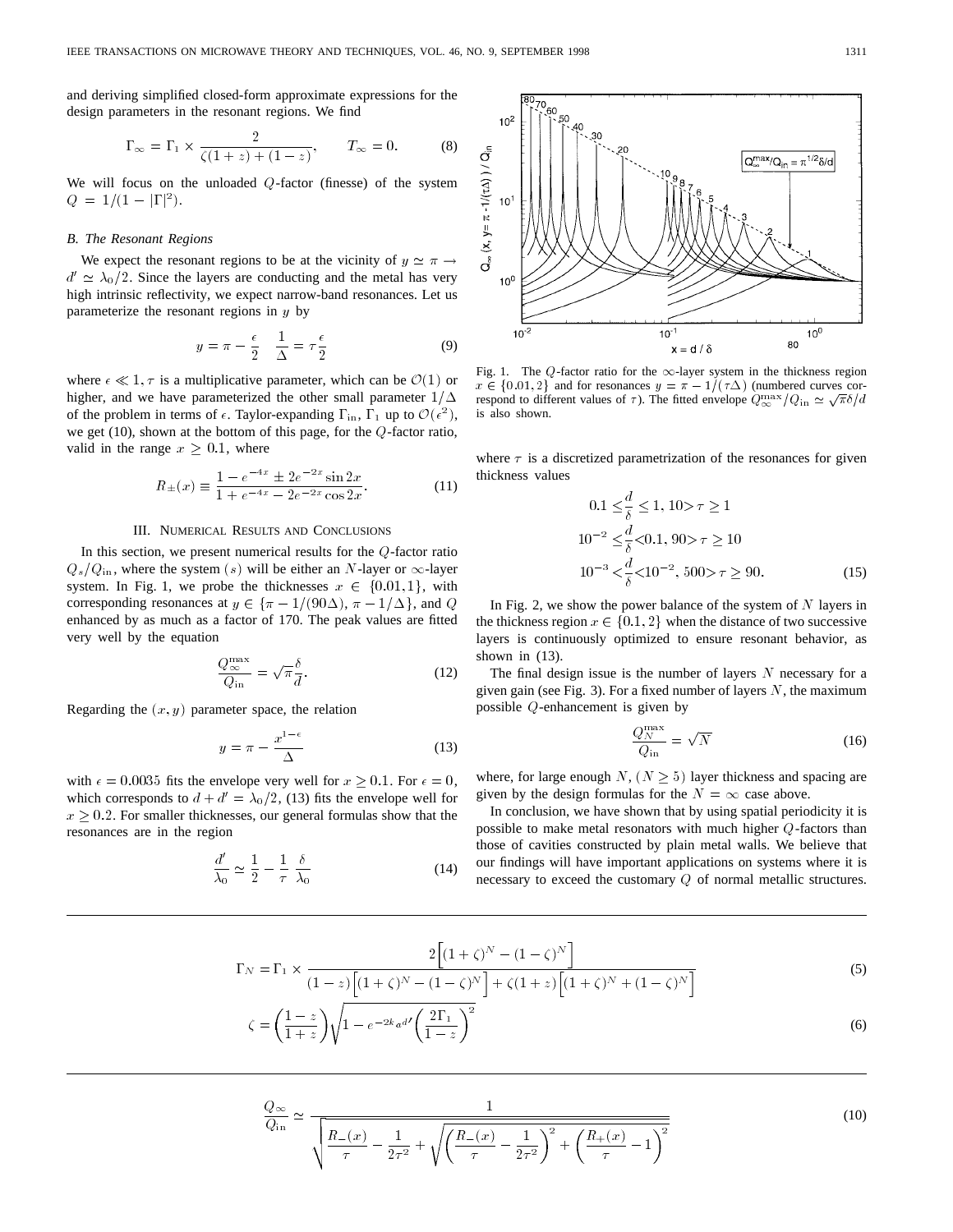and deriving simplified closed-form approximate expressions for the design parameters in the resonant regions. We find

$$
\Gamma_{\infty} = \Gamma_1 \times \frac{2}{\zeta(1+z) + (1-z)}, \qquad T_{\infty} = 0. \tag{8}
$$

We will focus on the unloaded  $Q$ -factor (finesse) of the system  $Q = 1/(1 - |\Gamma|^2).$ 

#### *B. The Resonant Regions*

We expect the resonant regions to be at the vicinity of  $y \simeq \pi \rightarrow$  $d' \approx \lambda_0/2$ . Since the layers are conducting and the metal has very high intrinsic reflectivity, we expect narrow-band resonances. Let us parameterize the resonant regions in  $y$  by

$$
y = \pi - \frac{\epsilon}{2} \quad \frac{1}{\Delta} = \tau \frac{\epsilon}{2} \tag{9}
$$

where  $\epsilon \ll 1, \tau$  is a multiplicative parameter, which can be  $\mathcal{O}(1)$  or higher, and we have parameterized the other small parameter  $1/\Delta$ of the problem in terms of  $\epsilon$ . Taylor-expanding  $\Gamma_{\rm in}$ ,  $\Gamma_1$  up to  $\mathcal{O}(\epsilon^2)$ , we get (10), shown at the bottom of this page, for the Q-factor ratio, valid in the range  $x \geq 0.1$ , where

$$
R_{\pm}(x) \equiv \frac{1 - e^{-4x} \pm 2e^{-2x} \sin 2x}{1 + e^{-4x} - 2e^{-2x} \cos 2x}.
$$
 (11)

### III. NUMERICAL RESULTS AND CONCLUSIONS

In this section, we present numerical results for the  $Q$ -factor ratio  $Q_s/Q_{\text{in}}$ , where the system (s) will be either an N-layer or  $\infty$ -layer system. In Fig. 1, we probe the thicknesses  $x \in \{0.01, 1\}$ , with corresponding resonances at  $y \in {\pi - 1/(90\Delta)}$ ,  $\pi - 1/\Delta$ , and Q enhanced by as much as a factor of 170. The peak values are fitted very well by the equation

$$
\frac{Q_{\infty}^{\max}}{Q_{\text{in}}} = \sqrt{\pi} \frac{\delta}{d}.
$$
 (12)

Regarding the  $(x, y)$  parameter space, the relation

$$
y = \pi - \frac{x^{1-\epsilon}}{\Delta} \tag{13}
$$

with  $\epsilon = 0.0035$  fits the envelope very well for  $x \ge 0.1$ . For  $\epsilon = 0$ , which corresponds to  $d + d' = \lambda_0/2$ , (13) fits the envelope well for  $x \geq 0.2$ . For smaller thicknesses, our general formulas show that the resonances are in the region

$$
\frac{d'}{\lambda_0} \simeq \frac{1}{2} - \frac{1}{\tau} \frac{\delta}{\lambda_0} \tag{14}
$$



Fig. 1. The Q-factor ratio for the  $\infty$ -layer system in the thickness region  $x \in \{0.01, 2\}$  and for resonances  $y = \pi - 1/(\tau \Delta)$  (numbered curves cor $x \in \{0.01, 2\}$  and for resonances  $y = \pi - 1/(T\Delta)$  (numbered curves con-<br>respond to different values of  $\tau$ ). The fitted envelope  $Q_{\infty}^{\max}/Q_{\text{in}} \simeq \sqrt{\pi} \delta / d$ is also shown.

where  $\tau$  is a discretized parametrization of the resonances for given thickness values

$$
0.1 \leq \frac{d}{\delta} \leq 1, 10 > \tau \geq 1
$$
  

$$
10^{-2} \leq \frac{d}{\delta} < 0.1, 90 > \tau \geq 10
$$
  

$$
10^{-3} < \frac{d}{\delta} < 10^{-2}, 500 > \tau \geq 90.
$$
 (15)

In Fig. 2, we show the power balance of the system of  $N$  layers in the thickness region  $x \in \{0.1, 2\}$  when the distance of two successive layers is continuously optimized to ensure resonant behavior, as shown in (13).

The final design issue is the number of layers  $N$  necessary for a given gain (see Fig. 3). For a fixed number of layers  $N$ , the maximum possible Q-enhancement is given by

$$
\frac{Q_N^{\text{max}}}{Q_{\text{in}}} = \sqrt{N} \tag{16}
$$

where, for large enough  $N$ ,  $(N \ge 5)$  layer thickness and spacing are given by the design formulas for the  $N = \infty$  case above.

In conclusion, we have shown that by using spatial periodicity it is possible to make metal resonators with much higher Q-factors than those of cavities constructed by plain metal walls. We believe that our findings will have important applications on systems where it is necessary to exceed the customary Q of normal metallic structures.

$$
\Gamma_N = \Gamma_1 \times \frac{2\left[ (1+\zeta)^N - (1-\zeta)^N \right]}{(1-z)\left[ (1+\zeta)^N - (1-\zeta)^N \right] + \zeta (1+z)\left[ (1+\zeta)^N + (1-\zeta)^N \right]}
$$
(5)

$$
\zeta = \left(\frac{1-z}{1+z}\right)\sqrt{1 - e^{-2k_a d'}} \left(\frac{2\Gamma_1}{1-z}\right)^2\tag{6}
$$

$$
\frac{Q_{\infty}}{Q_{\text{in}}} \simeq \frac{1}{\sqrt{\frac{R_{-}(x)}{\tau} - \frac{1}{2\tau^2} + \sqrt{\left(\frac{R_{-}(x)}{\tau} - \frac{1}{2\tau^2}\right)^2 + \left(\frac{R_{+}(x)}{\tau} - 1\right)^2}}}
$$
(10)